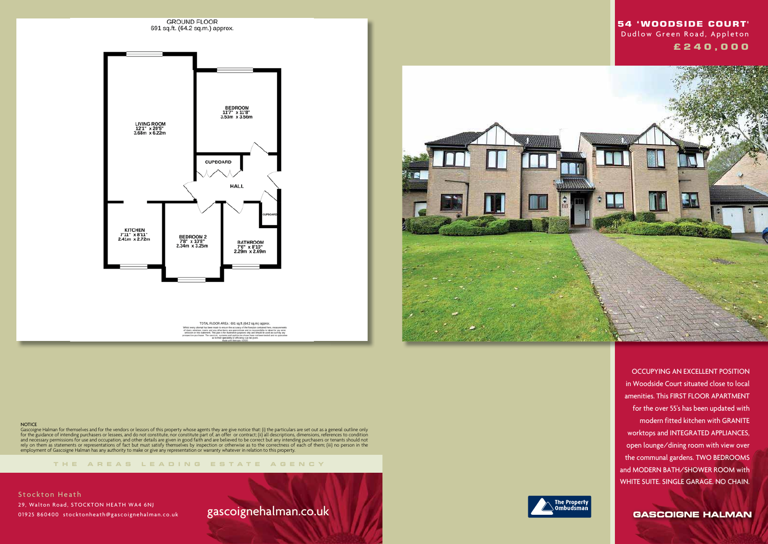

TOTAL FLOOR AREA: 691 sq.ft. (64.2 sq.m.) approx. git has been made to ensure the accuracy of the floorplan contained here, measurements<br>, rooms and any other items are approximate and ro responsibility is taken for any error,<br>statement, This plan is for illustrative purp

**NOTICE** 

**THE AREA S LEADING ES T A TE A G E N C Y**

Gascoigne Halman for themselves and for the vendors or lessors of this property whose agents they are give notice that: (i) the particulars are set out as a general outline only for the guidance of intending purchasers or lessees, and do not constitute, nor constitute part of, an offer or contract; (ii) all descriptions, dimensions, references to condition and necessary permissions for use and occupation, and other details are given in good faith and are believed to be correct but any intending purchasers or tenants should not rely on them as statements or representations of fact but must satisfy themselves by inspection or otherwise as to the correctness of each of them; (iii) no person in the employment of Gascoigne Halman has any authority to make or give any representation or warranty whatever in relation to this property.

**Stockton Heath**  29, Walton Road, STOCKTON HEATH WA4 6NJ 01925 860400 stocktonheath@gascoignehalman.co.uk

# gascoignehalman.co.uk





 OCCUPYING AN EXCELLENT POSITION in Woodside Court situated close to local amenities. This FIRST FLOOR APARTMENT for the over 55's has been updated with modern fitted kitchen with GRANITE worktops and INTEGRATED APPLIANCES, open lounge/dining room with view over the communal gardens. TWO BEDROOMS and MODERN BATH/SHOWER ROOM with WHITE SUITE. SINGLE GARAGE. NO CHAIN.

**GASCOIGNE HALMAN** 

## **54 'WOODSIDE COURT'**  Dudlow Green Road, Appleton  **£ 2 4 0 , 0 0 0**